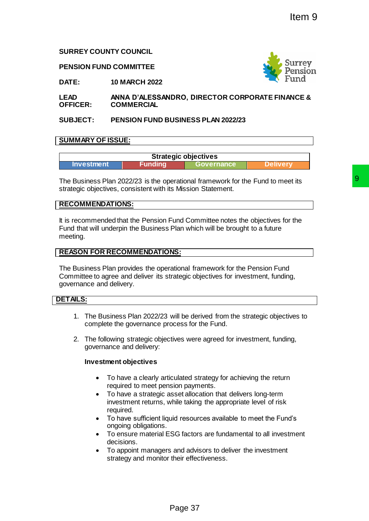## **SURREY COUNTY COUNCIL**

#### **PENSION FUND COMMITTEE**



**DATE: 10 MARCH 2022**

**LEAD OFFICER: ANNA D'ALESSANDRO, DIRECTOR CORPORATE FINANCE & COMMERCIAL**

### **SUBJECT: PENSION FUND BUSINESS PLAN 2022/23**

### **SUMMARY OF ISSUE:**

| <b>Strategic objectives</b> |         |            |                  |
|-----------------------------|---------|------------|------------------|
| Investment                  | Funding | Governance | <i>r</i> eliverv |

The Business Plan 2022/23 is the operational framework for the Fund to meet its strategic objectives, consistent with its Mission Statement.

### **RECOMMENDATIONS:**

It is recommended that the Pension Fund Committee notes the objectives for the Fund that will underpin the Business Plan which will be brought to a future meeting. erational framework for the Fund to meet its<br>
Is Mission Statement.<br>
Tund Committee notes the objectives for the<br>
Plan which will be brought to a future<br>
NS:<br>
NS:<br>
actional framework for the Pension Fund<br>
trategic objectiv

## **REASON FOR RECOMMENDATIONS:**

The Business Plan provides the operational framework for the Pension Fund Committee to agree and deliver its strategic objectives for investment, funding, governance and delivery.

#### **DETAILS:**

- 1. The Business Plan 2022/23 will be derived from the strategic objectives to complete the governance process for the Fund.
- 2. The following strategic objectives were agreed for investment, funding, governance and delivery:

### **Investment objectives**

- To have a clearly articulated strategy for achieving the return required to meet pension payments.
- To have a strategic asset allocation that delivers long-term investment returns, while taking the appropriate level of risk required.
- To have sufficient liquid resources available to meet the Fund's ongoing obligations.
- To ensure material ESG factors are fundamental to all investment decisions.
- To appoint managers and advisors to deliver the investment strategy and monitor their effectiveness.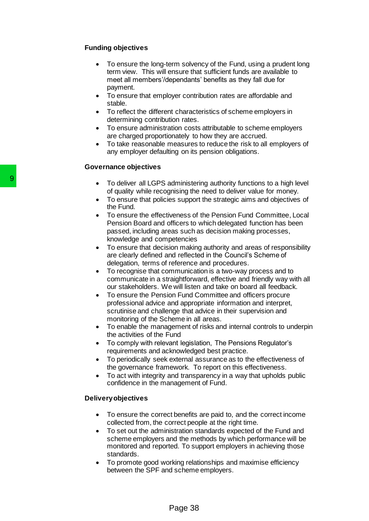## **Funding objectives**

- To ensure the long-term solvency of the Fund, using a prudent long term view. This will ensure that sufficient funds are available to meet all members'/dependants' benefits as they fall due for payment.
- To ensure that employer contribution rates are affordable and stable.
- To reflect the different characteristics of scheme employers in determining contribution rates.
- To ensure administration costs attributable to scheme employers are charged proportionately to how they are accrued.
- To take reasonable measures to reduce the risk to all employers of any employer defaulting on its pension obligations.

#### **Governance objectives**

- To deliver all LGPS administering authority functions to a high level of quality while recognising the need to deliver value for money.
- To ensure that policies support the strategic aims and objectives of the Fund.
- To ensure the effectiveness of the Pension Fund Committee, Local Pension Board and officers to which delegated function has been passed, including areas such as decision making processes, knowledge and competencies 9<br>
To deliver all LGPS administer<br>
of quality while recognising the<br>
To ensure that policies suppor<br>
To ensure the flectiveness of<br>
Pension Board and officers to<br>
passed, including areas such<br>
several and ordinates to<br>
kno
	- To ensure that decision making authority and areas of responsibility are clearly defined and reflected in the Council's Scheme of delegation, terms of reference and procedures.
	- To recognise that communication is a two-way process and to communicate in a straightforward, effective and friendly way with all our stakeholders. We will listen and take on board all feedback.
	- To ensure the Pension Fund Committee and officers procure professional advice and appropriate information and interpret, scrutinise and challenge that advice in their supervision and monitoring of the Scheme in all areas.
	- To enable the management of risks and internal controls to underpin the activities of the Fund
	- To comply with relevant legislation, The Pensions Regulator's requirements and acknowledged best practice.
	- To periodically seek external assurance as to the effectiveness of the governance framework. To report on this effectiveness.
	- To act with integrity and transparency in a way that upholds public confidence in the management of Fund.

### **Delivery objectives**

- To ensure the correct benefits are paid to, and the correct income collected from, the correct people at the right time.
- To set out the administration standards expected of the Fund and scheme employers and the methods by which performance will be monitored and reported. To support employers in achieving those standards.
- To promote good working relationships and maximise efficiency between the SPF and scheme employers.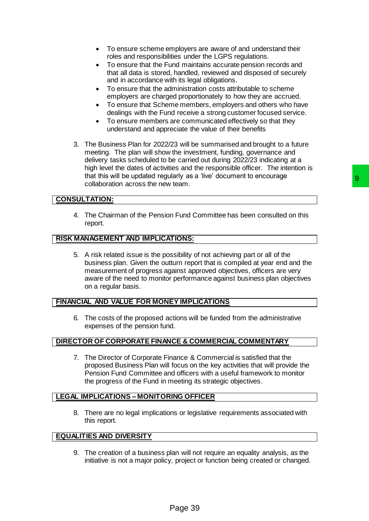- To ensure scheme employers are aware of and understand their roles and responsibilities under the LGPS regulations.
- To ensure that the Fund maintains accurate pension records and that all data is stored, handled, reviewed and disposed of securely and in accordance with its legal obligations.
- To ensure that the administration costs attributable to scheme employers are charged proportionately to how they are accrued.
- To ensure that Scheme members, employers and others who have dealings with the Fund receive a strong customer focused service.
- To ensure members are communicated effectively so that they understand and appreciate the value of their benefits
- 3. The Business Plan for 2022/23 will be summarised and brought to a future meeting. The plan will show the investment, funding, governance and delivery tasks scheduled to be carried out during 2022/23 indicating at a high level the dates of activities and the responsible officer. The intention is that this will be updated regularly as a 'live' document to encourage collaboration across the new team.

# **CONSULTATION:**

4. The Chairman of the Pension Fund Committee has been consulted on this report.

## **RISK MANAGEMENT AND IMPLICATIONS:**

5. A risk related issue is the possibility of not achieving part or all of the business plan. Given the outturn report that is compiled at year end and the measurement of progress against approved objectives, officers are very aware of the need to monitor performance against business plan objectives on a regular basis. Trians and the discrement of encourage<br>
The reader of team.<br>
Trians a live document to encourage<br>
Trians:<br>
Trians and the strained and the strained and the strained and the strained and the preformance against business pla

## **FINANCIAL AND VALUE FOR MONEY IMPLICATIONS**

6. The costs of the proposed actions will be funded from the administrative expenses of the pension fund.

## **DIRECTOR OF CORPORATE FINANCE & COMMERCIAL COMMENTARY**

7. The Director of Corporate Finance & Commercial is satisfied that the proposed Business Plan will focus on the key activities that will provide the Pension Fund Committee and officers with a useful framework to monitor the progress of the Fund in meeting its strategic objectives.

## **LEGAL IMPLICATIONS – MONITORING OFFICER**

8. There are no legal implications or legislative requirements associated with this report.

## **EQUALITIES AND DIVERSITY**

9. The creation of a business plan will not require an equality analysis, as the initiative is not a major policy, project or function being created or changed.